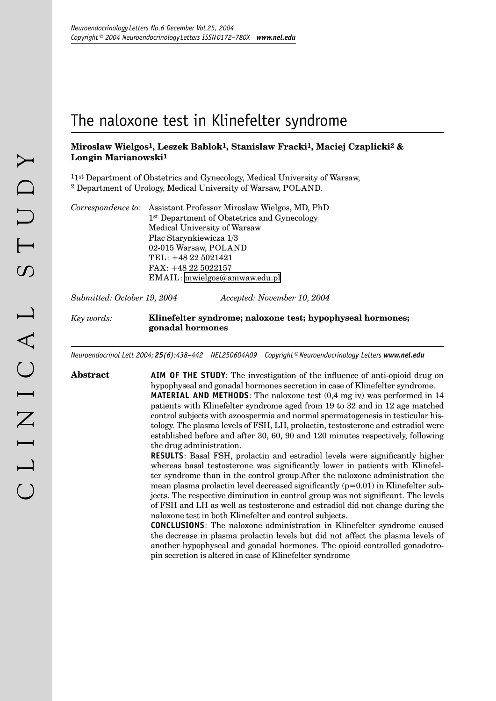# The naloxone test in Klinefelter syndrome

# **Miroslaw Wielgos1, Leszek Bablok1, Stanislaw Fracki1, Maciej Czaplicki2 & Longin Marianowski1**

11st Department of Obstetrics and Gynecology, Medical University of Warsaw, 2 Department of Urology, Medical University of Warsaw, POLAND.

| Correspondence to: Assistant Professor Miroslaw Wielgos, MD, PhD |  |  |  |  |  |  |  |
|------------------------------------------------------------------|--|--|--|--|--|--|--|
| 1 <sup>st</sup> Department of Obstetrics and Gynecology          |  |  |  |  |  |  |  |
| Medical University of Warsaw                                     |  |  |  |  |  |  |  |
| Plac Starynkiewicza 1/3                                          |  |  |  |  |  |  |  |
| 02-015 Warsaw, POLAND                                            |  |  |  |  |  |  |  |
| TEL: +48 22 5021421                                              |  |  |  |  |  |  |  |
| $FAX: +48225022157$                                              |  |  |  |  |  |  |  |
| $EMAIL:$ mwielgos@amwaw.edu.pl                                   |  |  |  |  |  |  |  |
|                                                                  |  |  |  |  |  |  |  |

*Submitted: October 19, 2004 Accepted: November 10, 2004*

## *Key words:* **Klinefelter syndrome; naloxone test; hypophyseal hormones; gonadal hormones**

*Neuroendocrinol Lett 2004;25(6):438–442 NEL250604A09 Copyright©Neuroendocrinology Letters www.nel.edu*

**Abstract AIM OF THE STUDY**: The investigation of the influence of anti-opioid drug on hypophyseal and gonadal hormones secretion in case of Klinefelter syndrome. **MATERIAL AND METHODS**: The naloxone test (0,4 mg iv) was performed in 14 patients with Klinefelter syndrome aged from 19 to 32 and in 12 age matched control subjects with azoospermia and normal spermatogenesis in testicular histology. The plasma levels of FSH, LH, prolactin, testosterone and estradiol were established before and after 30, 60, 90 and 120 minutes respectively, following the drug administration.

> **RESULTS**: Basal FSH, prolactin and estradiol levels were significantly higher whereas basal testosterone was significantly lower in patients with Klinefelter syndrome than in the control group.After the naloxone administration the mean plasma prolactin level decreased significantly  $(p=0.01)$  in Klinefelter subjects. The respective diminution in control group was not significant. The levels of FSH and LH as well as testosterone and estradiol did not change during the naloxone test in both Klinefelter and control subjects.

> **CONCLUSIONS**: The naloxone administration in Klinefelter syndrome caused the decrease in plasma prolactin levels but did not affect the plasma levels of another hypophyseal and gonadal hormones. The opioid controlled gonadotropin secretion is altered in case of Klinefelter syndrome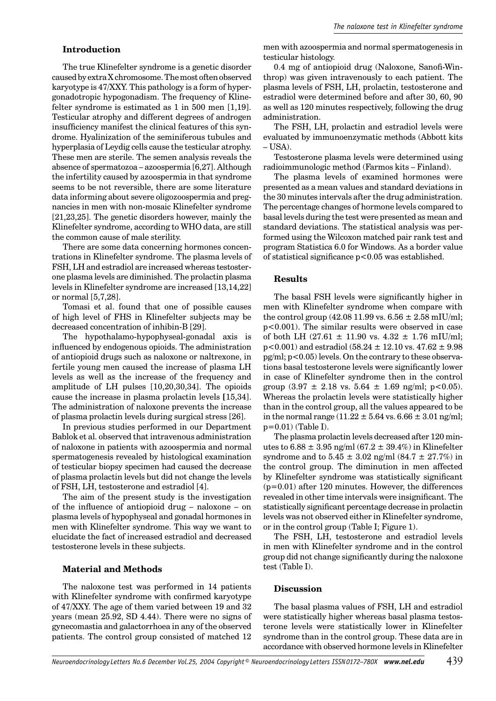# **Introduction**

The true Klinefelter syndrome is a genetic disorder caused by extra X chromosome. The most often observed karyotype is 47/XXY. This pathology is a form of hypergonadotropic hypogonadism. The frequency of Klinefelter syndrome is estimated as 1 in 500 men [1,19]. Testicular atrophy and different degrees of androgen insufficiency manifest the clinical features of this syndrome. Hyalinization of the seminiferous tubules and hyperplasia of Leydig cells cause the testicular atrophy. These men are sterile. The semen analysis reveals the absence of spermatozoa – azoospermia [6,27]. Although the infertility caused by azoospermia in that syndrome seems to be not reversible, there are some literature data informing about severe oligozoospermia and pregnancies in men with non-mosaic Klinefelter syndrome [21,23,25]. The genetic disorders however, mainly the Klinefelter syndrome, according to WHO data, are still the common cause of male sterility.

There are some data concerning hormones concentrations in Klinefelter syndrome. The plasma levels of FSH, LH and estradiol are increased whereas testosterone plasma levels are diminished. The prolactin plasma levels in Klinefelter syndrome are increased [13,14,22] or normal [5,7,28].

Tomasi et al. found that one of possible causes of high level of FHS in Klinefelter subjects may be decreased concentration of inhibin-B [29].

The hypothalamo-hypophyseal-gonadal axis is influenced by endogenous opioids. The administration of antiopioid drugs such as naloxone or naltrexone, in fertile young men caused the increase of plasma LH levels as well as the increase of the frequency and amplitude of LH pulses [10,20,30,34]. The opioids cause the increase in plasma prolactin levels **[**15,34]. The administration of naloxone prevents the increase of plasma prolactin levels during surgical stress [26].

In previous studies performed in our Department Bablok et al. observed that intravenous administration of naloxone in patients with azoospermia and normal spermatogenesis revealed by histological examination of testicular biopsy specimen had caused the decrease of plasma prolactin levels but did not change the levels of FSH, LH, testosterone and estradiol [4].

The aim of the present study is the investigation of the influence of antiopioid drug – naloxone – on plasma levels of hypophyseal and gonadal hormones in men with Klinefelter syndrome. This way we want to elucidate the fact of increased estradiol and decreased testosterone levels in these subjects.

# **Material and Methods**

The naloxone test was performed in 14 patients with Klinefelter syndrome with confirmed karyotype of 47/XXY. The age of them varied between 19 and 32 years (mean 25.92, SD 4.44). There were no signs of gynecomastia and galactorrhoea in any of the observed patients. The control group consisted of matched 12

men with azoospermia and normal spermatogenesis in testicular histology.

0.4 mg of antiopioid drug (Naloxone, Sanofi-Winthrop) was given intravenously to each patient. The plasma levels of FSH, LH, prolactin, testosterone and estradiol were determined before and after 30, 60, 90 as well as 120 minutes respectively, following the drug administration.

The FSH, LH, prolactin and estradiol levels were evaluated by immunoenzymatic methods (Abbott kits  $-<sub>IISA</sub>$ 

Testosterone plasma levels were determined using radioimmunologic method (Farmos kits – Finland).

The plasma levels of examined hormones were presented as a mean values and standard deviations in the 30 minutes intervals after the drug administration. The percentage changes of hormone levels compared to basal levels during the test were presented as mean and standard deviations. The statistical analysis was performed using the Wilcoxon matched pair rank test and program Statistica 6.0 for Windows. As a border value of statistical significance p<0.05 was established.

#### **Results**

The basal FSH levels were significantly higher in men with Klinefelter syndrome when compare with the control group (42.08 11.99 vs.  $6.56 \pm 2.58$  mIU/ml; p<0.001). The similar results were observed in case of both LH (27.61  $\pm$  11.90 vs. 4.32  $\pm$  1.76 mIU/ml;  $p<0.001$ ) and estradiol (58.24  $\pm$  12.10 vs. 47.62  $\pm$  9.98  $pg/ml$ ;  $p<0.05$ ) levels. On the contrary to these observations basal testosterone levels were significantly lower in case of Klinefelter syndrome then in the control group  $(3.97 \pm 2.18 \text{ vs. } 5.64 \pm 1.69 \text{ ng/ml}; \text{ p} < 0.05)$ . Whereas the prolactin levels were statistically higher than in the control group, all the values appeared to be in the normal range  $(11.22 \pm 5.64 \text{ vs. } 6.66 \pm 3.01 \text{ ng/ml};$  $p=0.01$ ) (Table I).

The plasma prolactin levels decreased after 120 minutes to  $6.88 \pm 3.95$  ng/ml  $(67.2 \pm 39.4\%)$  in Klinefelter syndrome and to  $5.45 \pm 3.02$  ng/ml  $(84.7 \pm 27.7%)$  in the control group. The diminution in men affected by Klinefelter syndrome was statistically significant (p=0.01) after 120 minutes. However, the differences revealed in other time intervals were insignificant. The statistically significant percentage decrease in prolactin levels was not observed either in Klinefelter syndrome, or in the control group (Table I; Figure 1).

The FSH, LH, testosterone and estradiol levels in men with Klinefelter syndrome and in the control group did not change significantly during the naloxone test (Table I).

### **Discussion**

The basal plasma values of FSH, LH and estradiol were statistically higher whereas basal plasma testosterone levels were statistically lower in Klinefelter syndrome than in the control group. These data are in accordance with observed hormone levels in Klinefelter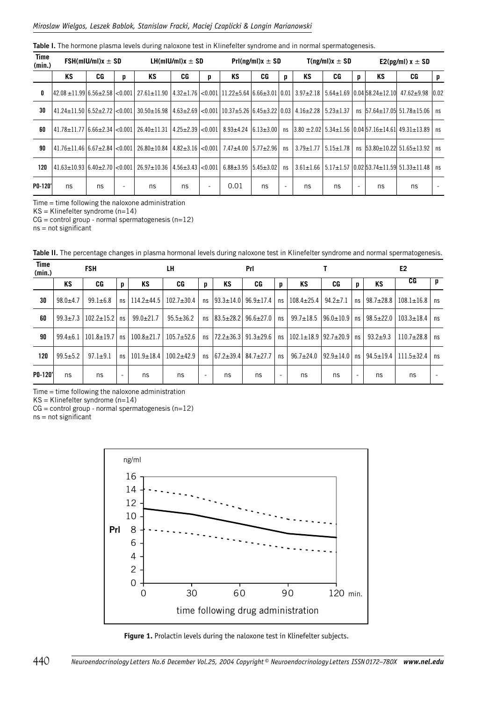|  |  |  |  | Table I. The hormone plasma levels during naloxone test in Klinefelter syndrome and in normal spermatogenesis. |
|--|--|--|--|----------------------------------------------------------------------------------------------------------------|
|  |  |  |  |                                                                                                                |
|  |  |  |  |                                                                                                                |

| Time<br>(min.) | $FSH(mIU/ml)x \pm SD$            |    |   | LH(mIU/mI) $x \pm SD$                                                                                                                                           |     |   | $Pr((ng/ml)x \pm SD)$ |    |    | $T(np/ml)x \pm SD$ |                 |   | E2(pg/ml) $x \pm SD$ |                                                                                       |   |
|----------------|----------------------------------|----|---|-----------------------------------------------------------------------------------------------------------------------------------------------------------------|-----|---|-----------------------|----|----|--------------------|-----------------|---|----------------------|---------------------------------------------------------------------------------------|---|
|                | ΚS                               | CG | p | KS                                                                                                                                                              | CG  | p | KS                    | CG | p  | KS                 | CG              | p | KS                   | CG                                                                                    | p |
| 0              |                                  |    |   | 42.08±11.99 6.56±2.58 <0.001  27.61±11.90  4.32±1.76 <0.001 11.22±5.64 6.66±3.01 0.01  3.97±2.18   5.64±1.69  0.04 58.24±12.10  47.62±9.98  0.02                |     |   |                       |    |    |                    |                 |   |                      |                                                                                       |   |
| 30             |                                  |    |   | $ 41.24 \pm 11.50 6.52 \pm 2.72  < 0.001 30.50 \pm 16.98 4.63 \pm 2.69  < 0.001 10.37 \pm 5.26 6.45 \pm 3.22 0.03 4.16 \pm 2.28 5.23 \pm 1.37 $                 |     |   |                       |    |    |                    |                 |   |                      | ns $ 57.64 \pm 17.05 $ 51.78 $\pm$ 15.06   ns                                         |   |
| 60             | 41.78±11.77   6.66±2.34   <0.001 |    |   | $26.40 \pm 11.31$ $ 4.25 \pm 2.39 $ < 0.001 8.93 $\pm 4.24$ $ 6.13 \pm 3.00 $ ns $ 3.80 \pm 2.02 $ 5.34 $\pm 1.56$ 0.04 57.16 $\pm 14.61 $ 49.31 $\pm 13.89$ ns |     |   |                       |    |    |                    |                 |   |                      |                                                                                       |   |
| 90             |                                  |    |   | $ 41.76 \pm 11.46 6.67 \pm 2.84 $ <0.001 26.80 $\pm 10.84 4.82 \pm 3.16 $ <0.001 7.47 $\pm 4.00 5.77 \pm 2.96 $                                                 |     |   |                       |    | ns | $3.79 \pm 1.77$    | $5.15 \pm 1.78$ |   |                      | ns $53.80 \pm 10.22$ $51.65 \pm 13.92$   ns                                           |   |
| 120            |                                  |    |   | $ 41.63 \pm 10.93 6.40 \pm 2.70 $ <0.001 26.97 $\pm 10.36 4.56 \pm 3.43 $ <0.001 6.88 $\pm 3.95 5.45 \pm 3.02 $                                                 |     |   |                       |    | ns |                    |                 |   |                      | $3.61 \pm 1.66$   5.17 $\pm$ 1.57   0.02   53.74 $\pm$ 11.59   51.33 $\pm$ 11.48   ns |   |
| P0-120'        | ns                               | ns | ٠ | ns                                                                                                                                                              | ns. |   | 0.01                  | ns |    | ns                 | ns              |   | ns                   | ns                                                                                    |   |

Time = time following the naloxone administration

KS = Klinefelter syndrome (n=14)

 $CG = control$  group - normal spermatogenesis (n=12)

ns = not significant

| <b>Time</b><br>(min.) |                | <b>FSH</b><br>LH |    |                  |                  |    | Prl               |                                 |                          |                                    |                   |    | E <sub>2</sub>  |                       |      |
|-----------------------|----------------|------------------|----|------------------|------------------|----|-------------------|---------------------------------|--------------------------|------------------------------------|-------------------|----|-----------------|-----------------------|------|
|                       | ΚS             | CG               | p  | KS               | CG               | p  | KS                | CG                              | p                        | KS                                 | CG                | p  | KS              | CG                    | p    |
| 30                    | $98.0 + 4.7$   | $99.1 \pm 6.8$   | ns | $114.2 + 44.5$   | $102.7 \pm 30.4$ | ns | $ 93.3 \pm 14.0 $ | $96.9 \pm 17.4$                 | ns                       | $108.4 \pm 25.4$   94.2 $\pm$ 7.1  |                   | ns | $98.7 \pm 28.8$ | $108.1 \pm 16.8$   ns |      |
| 60                    | $99.3 \pm 7.3$ | $102.2 \pm 15.2$ | ns | $99.0 \pm 21.7$  | $95.5 \pm 36.2$  | ns | $ 83.5 \pm 28.2 $ | $96.6 \pm 27.0$                 | ns                       | $99.7 \pm 18.5$                    | l 96.0±10.9 l     | ns | $98.5 \pm 22.0$ | $103.3 \pm 18.4$      | ns   |
| 90                    | $99.4 \pm 6.1$ | $101.8 \pm 19.7$ | ns | $100.8 + 21.7$   | $105.7 + 52.6$   | ns | $ 72.2 \pm 36.3 $ | $91.3 \pm 29.6$                 | ns                       | $102.1 \pm 18.9$   92.7 $\pm$ 20.9 |                   | ns | $93.2 + 9.3$    | $110.7 \pm 28.8$   ns |      |
| 120                   | $99.5 + 5.2$   | $97.1 \pm 9.1$   | ns | $101.9 \pm 18.4$ | $100.2 + 42.9$   | ns |                   | $ 67.2 \pm 39.4 84.7 \pm 27.7 $ | ns                       | $96.7 \pm 24.0$                    | $ 92.9 \pm 14.0 $ | ns | $94.5 \pm 19.4$ | $111.5 \pm 32.4$      | l ns |
| P0-120'               | ns             | ns               | ۰  | ns               | ns               | ۰  | ns                | ns                              | $\overline{\phantom{a}}$ | ns                                 | ns                | ٠  | ns              | ns                    |      |

**Table II.** The percentage changes in plasma hormonal levels during naloxone test in Klinefelter syndrome and normal spermatogenesis.

Time = time following the naloxone administration

KS = Klinefelter syndrome (n=14)

 $CG = control group - normal spermatogenesis (n=12)$ 

ns = not significant



**Figure 1.** Prolactin levels during the naloxone test in Klinefelter subjects.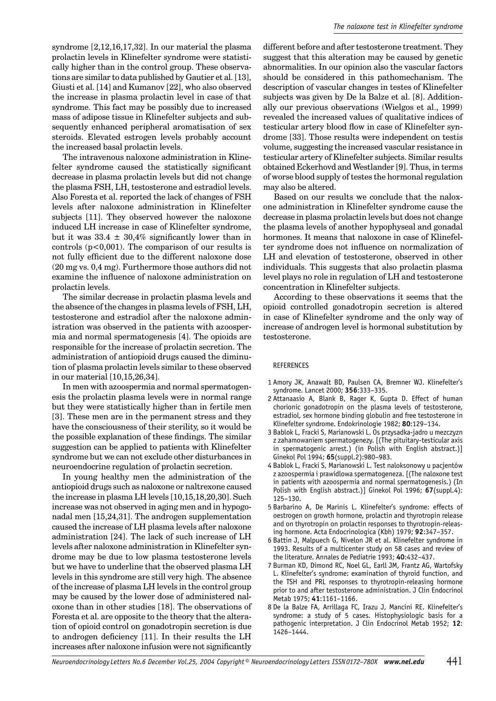syndrome [2,12,16,17,32]. In our material the plasma prolactin levels in Klinefelter syndrome were statistically higher than in the control group. These observations are similar to data published by Gautier et al. [13], Giusti et al. [14] and Kumanov [22], who also observed the increase in plasma prolactin level in case of that syndrome. This fact may be possibly due to increased mass of adipose tissue in Klinefelter subjects and subsequently enhanced peripheral aromatisation of sex steroids. Elevated estrogen levels probably account the increased basal prolactin levels.

The intravenous naloxone administration in Klinefelter syndrome caused the statistically significant decrease in plasma prolactin levels but did not change the plasma FSH, LH, testosterone and estradiol levels. Also Foresta et al. reported the lack of changes of FSH levels after naloxone administration in Klinefelter subjects [11]. They observed however the naloxone induced LH increase in case of Klinefelter syndrome, but it was  $33.4 \pm 30,4\%$  significantly lower than in controls  $(p<0,001)$ . The comparison of our results is not fully efficient due to the different naloxone dose (20 mg vs. 0,4 mg). Furthermore those authors did not examine the influence of naloxone administration on prolactin levels.

The similar decrease in prolactin plasma levels and the absence of the changes in plasma levels of FSH, LH, testosterone and estradiol after the naloxone administration was observed in the patients with azoospermia and normal spermatogenesis [4]. The opioids are responsible for the increase of prolactin secretion. The administration of antiopioid drugs caused the diminution of plasma prolactin levels similar to these observed in our material [10,15,26,34].

In men with azoospermia and normal spermatogenesis the prolactin plasma levels were in normal range but they were statistically higher than in fertile men [3]. These men are in the permanent stress and they have the consciousness of their sterility, so it would be the possible explanation of these findings. The similar suggestion can be applied to patients with Klinefelter syndrome but we can not exclude other disturbances in neuroendocrine regulation of prolactin secretion.

In young healthy men the administration of the antiopioid drugs such as naloxone or naltrexone caused the increase in plasma LH levels [10,15,18,20,30]. Such increase was not observed in aging men and in hypogonadal men [15,24,31]. The androgen supplementation caused the increase of LH plasma levels after naloxone administration [24]. The lack of such increase of LH levels after naloxone administration in Klinefelter syndrome may be due to low plasma testosterone levels but we have to underline that the observed plasma LH levels in this syndrome are still very high. The absence of the increase of plasma LH levels in the control group may be caused by the lower dose of administered naloxone than in other studies [18]. The observations of Foresta et al. are opposite to the theory that the alteration of opioid control on gonadotropin secretion is due to androgen deficiency [11]. In their results the LH increases after naloxone infusion were not significantly

different before and after testosterone treatment. They suggest that this alteration may be caused by genetic abnormalities. In our opinion also the vascular factors should be considered in this pathomechanism. The description of vascular changes in testes of Klinefelter subjects was given by De la Balze et al. [8]. Additionally our previous observations (Wielgos et al., 1999) revealed the increased values of qualitative indices of testicular artery blood flow in case of Klinefelter syndrome [33]. Those results were independent on testis volume, suggesting the increased vascular resistance in testicular artery of Klinefelter subjects. Similar results obtained Eckerhovd and Westlander [9]. Thus, in terms of worse blood supply of testes the hormonal regulation may also be altered.

Based on our results we conclude that the naloxone administration in Klinefelter syndrome cause the decrease in plasma prolactin levels but does not change the plasma levels of another hypophyseal and gonadal hormones. It means that naloxone in case of Klinefelter syndrome does not influence on normalization of LH and elevation of testosterone, observed in other individuals. This suggests that also prolactin plasma level plays no role in regulation of LH and testosterone concentration in Klinefelter subjects.

According to these observations it seems that the opioid controlled gonadotropin secretion is altered in case of Klinefelter syndrome and the only way of increase of androgen level is hormonal substitution by testosterone.

#### REFERENCES

- 1 Amory JK, Anawalt BD, Paulsen CA, Bremner WJ. Klinefelter's syndrome. Lancet 2000; **356**:333–335.
- 2 Attanaasio A, Blank B, Rager K, Gupta D. Effect of human chorionic gonadotropin on the plasma levels of testosterone, estradiol, sex hormone binding globulin and free testosterone in Klinefelter syndrome. Endokrinologie 1982; **80**:129–134.
- 3 Bablok L, Fracki S, Marianowski L. Os przysadka-jadro u mezczyzn z zahamowaniem spermatogenezy. [(The pituitary-testicular axis in spermatogenic arrest.) (in Polish with English abstract.)] Ginekol Pol 1994; **65**(suppl.2):980–983.
- 4 Bablok L, Fracki S, Marianowski L. Test naloksonowy u pacjentów z azoospermia i prawidlowa spermatogeneza. [(The naloxone test in patients with azoospermia and normal spermatogenesis.) (In Polish with English abstract.)] Ginekol Pol 1996; **67**(suppl.4): 125–130.
- 5 Barbarino A, De Marinis L. Klinefelter's syndrome: effects of oestrogen on growth hormone, prolactin and thyrotropin release and on thyrotropin on prolactin responses to thyrotropin-releasing hormone. Acta Endocrinologica (Kbh) 1979; **92**:347–357.
- 6 Battin J, Malpuech G, Nivelon JR et al. Klinefelter syndrome in 1993. Results of a multicenter study on 58 cases and review of the literature. Annales de Pediatrie 1993; **40**:432–437.
- 7 Burman KD, Dimond RC, Noel GL, Earll JM, Frantz AG, Wartofsky L. Klinefelter's syndrome: examination of thyroid function, and the TSH and PRL responses to thyrotropin-releasing hormone prior to and after testosterone administration. J Clin Endocrinol Metab 1975; **41**:1161–1166.
- 8 De la Balze FA, Arrillaga FC, Irazu J, Mancini RE. Klinefelter's syndrome: a study of 5 cases. Histophysiologic basis for a pathogenic interpretation. J Clin Endocrinol Metab 1952; **12**: 1426–1444.